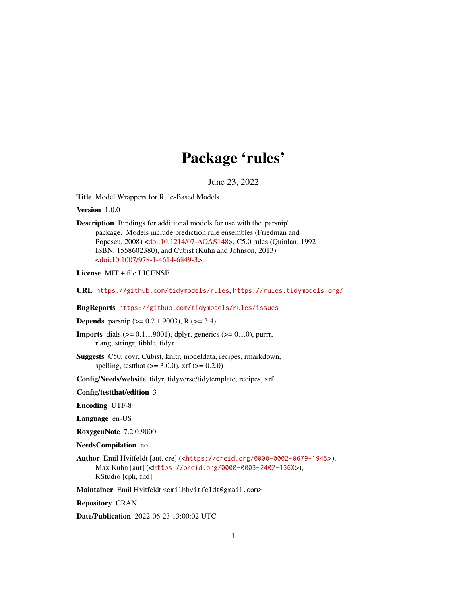## Package 'rules'

June 23, 2022

<span id="page-0-0"></span>Title Model Wrappers for Rule-Based Models

Version 1.0.0

Description Bindings for additional models for use with the 'parsnip' package. Models include prediction rule ensembles (Friedman and Popescu, 2008) [<doi:10.1214/07-AOAS148>](https://doi.org/10.1214/07-AOAS148), C5.0 rules (Quinlan, 1992 ISBN: 1558602380), and Cubist (Kuhn and Johnson, 2013) [<doi:10.1007/978-1-4614-6849-3>](https://doi.org/10.1007/978-1-4614-6849-3).

License MIT + file LICENSE

URL <https://github.com/tidymodels/rules>, <https://rules.tidymodels.org/>

BugReports <https://github.com/tidymodels/rules/issues>

**Depends** parsnip ( $> = 0.2.1.9003$ ), R ( $>= 3.4$ )

**Imports** dials ( $> = 0.1.1.9001$ ), dplyr, generics ( $> = 0.1.0$ ), purrr, rlang, stringr, tibble, tidyr

Suggests C50, covr, Cubist, knitr, modeldata, recipes, rmarkdown, spelling, test that  $(>= 3.0.0)$ , xrf  $(>= 0.2.0)$ 

Config/Needs/website tidyr, tidyverse/tidytemplate, recipes, xrf

Config/testthat/edition 3

Encoding UTF-8

Language en-US

RoxygenNote 7.2.0.9000

NeedsCompilation no

Author Emil Hvitfeldt [aut, cre] (<<https://orcid.org/0000-0002-0679-1945>>), Max Kuhn [aut] (<<https://orcid.org/0000-0003-2402-136X>>), RStudio [cph, fnd]

Maintainer Emil Hvitfeldt <emilhhvitfeldt@gmail.com>

Repository CRAN

Date/Publication 2022-06-23 13:00:02 UTC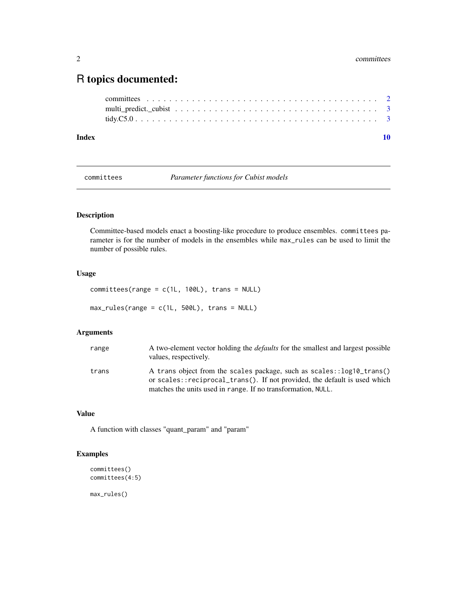### <span id="page-1-0"></span>R topics documented:

| Index |  |
|-------|--|
|       |  |
|       |  |
|       |  |

committees *Parameter functions for Cubist models*

#### Description

Committee-based models enact a boosting-like procedure to produce ensembles. committees parameter is for the number of models in the ensembles while max\_rules can be used to limit the number of possible rules.

#### Usage

```
commities(range = c(1L, 100L), trans = NULL)max_rules(range = c(1L, 500L), trans = NULL)
```
#### Arguments

| range | A two-element vector holding the <i>defaults</i> for the smallest and largest possible<br>values, respectively.                                    |
|-------|----------------------------------------------------------------------------------------------------------------------------------------------------|
| trans | A trans object from the scales package, such as scales::log10_trans()<br>or scales::reciprocal_trans(). If not provided, the default is used which |
|       | matches the units used in range. If no transformation, NULL.                                                                                       |

#### Value

A function with classes "quant\_param" and "param"

#### Examples

```
committees()
committees(4:5)
```
max\_rules()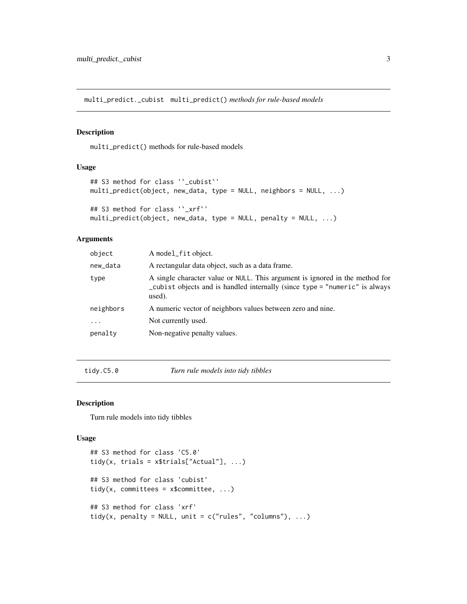<span id="page-2-0"></span>multi\_predict.\_cubist multi\_predict() *methods for rule-based models*

#### Description

multi\_predict() methods for rule-based models

#### Usage

```
## S3 method for class '`_cubist`'
multi_predict(object, new_data, type = NULL, neighbors = NULL, ...)
## S3 method for class '`_xrf`'
multi_predict(object, new_data, type = NULL, penalty = NULL, ...)
```
#### Arguments

| object    | A model_fit object.                                                                                                                                                   |
|-----------|-----------------------------------------------------------------------------------------------------------------------------------------------------------------------|
| new_data  | A rectangular data object, such as a data frame.                                                                                                                      |
| type      | A single character value or NULL. This argument is ignored in the method for<br>_cubist objects and is handled internally (since type = "numeric" is always<br>used). |
| neighbors | A numeric vector of neighbors values between zero and nine.                                                                                                           |
| $\ddots$  | Not currently used.                                                                                                                                                   |
| penalty   | Non-negative penalty values.                                                                                                                                          |
|           |                                                                                                                                                                       |

tidy.C5.0 *Turn rule models into tidy tibbles*

#### Description

Turn rule models into tidy tibbles

#### Usage

```
## S3 method for class 'C5.0'
tidy(x, trials = x$ trials['Actual'], ...)## S3 method for class 'cubist'
tidy(x, committees = x$committee, ...)
## S3 method for class 'xrf'
tidy(x, penalty = NULL, unit = c("rules", "columns"), ...)
```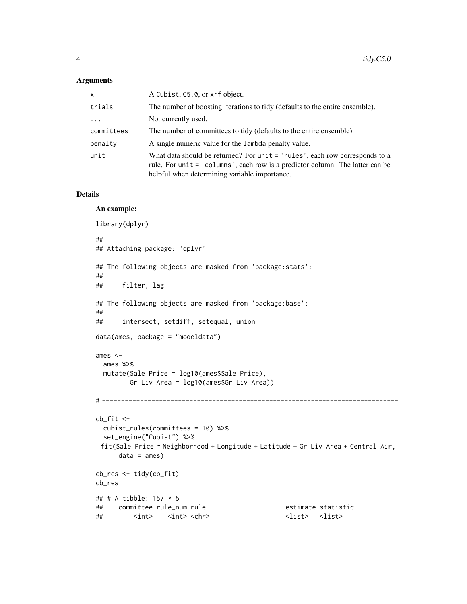#### Arguments

| $\mathsf{x}$ | A Cubist, C5.0, or xrf object.                                                                                                                                                                                  |
|--------------|-----------------------------------------------------------------------------------------------------------------------------------------------------------------------------------------------------------------|
| trials       | The number of boosting iterations to tidy (defaults to the entire ensemble).                                                                                                                                    |
| $\cdots$     | Not currently used.                                                                                                                                                                                             |
| committees   | The number of committees to tidy (defaults to the entire ensemble).                                                                                                                                             |
| penalty      | A single numeric value for the lambda penalty value.                                                                                                                                                            |
| unit         | What data should be returned? For unit $=$ 'rules', each row corresponds to a<br>rule. For unit = 'columns', each row is a predictor column. The latter can be<br>helpful when determining variable importance. |

#### Details

#### An example:

```
library(dplyr)
##
## Attaching package: 'dplyr'
## The following objects are masked from 'package:stats':
##
## filter, lag
## The following objects are masked from 'package:base':
##
## intersect, setdiff, setequal, union
data(ames, package = "modeldata")
ames <-
 ames %>%
 mutate(Sale_Price = log10(ames$Sale_Price),
        Gr_Liv_Area = log10(ames$Gr_Liv_Area))
# ------------------------------------------------------------------------------
cb_fit <-
 cubist_rules(committees = 10) %>%
 set_engine("Cubist") %>%
 fit(Sale_Price ~ Neighborhood + Longitude + Latitude + Gr_Liv_Area + Central_Air,
     data = ames)cb_res <- tidy(cb_fit)
cb_res
## # A tibble: 157 × 5
## committee rule_num rule estimate statistic
## <int> <int> <chr> <list> <list>
```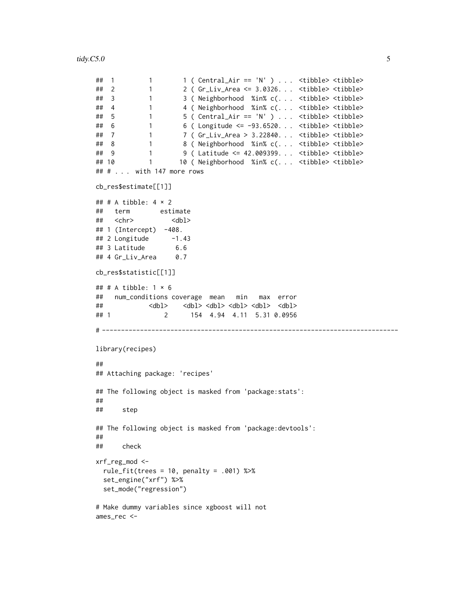```
\# 1 1 1 ( Central_Air == 'N' ) . . . <tibble> <tibble>
## 2 1 2 ( Gr_Liv_Area <= 3.0326. . . <tibble> <tibble>
## 3 1 3 ( Neighborhood %in% c(. . . <tibble> <tibble>
## 4 1 4 ( Neighborhood %in% c(. . . <tibble> <tibble>
## 5 1 5 ( Central_Air == 'N' ) . . . <tibble> <tibble>
## 6 1 6 ( Longitude <= -93.6520. . . <tibble> <tibble>
## 7 1 7 ( Gr_Liv_Area > 3.22840. . . <tibble> <tibble>
## 8 1 8 ( Neighborhood %in% c(. . . <tibble> <tibble>
## 9 1 9 ( Latitude <= 42.009399. . . <tibble> <tibble>
## 10 1 10 ( Neighborhood %in% c(. . . <tibble> <tibble>
## # . . . with 147 more rows
cb_res$estimate[[1]]
## # A tibble: 4 \times 2## term estimate
## <chr> <dbl>
## 1 (Intercept) -408.
## 2 Longitude -1.43
## 3 Latitude 6.6
\## 4 Gr_Liv_Area 0.7cb_res$statistic[[1]]
## # A tibble: 1 \times 6## num_conditions coverage mean min max error
## <dbl> <dbl> <dbl> <dbl> <dbl> <dbl>
## 1 2 154 4.94 4.11 5.31 0.0956
# ------------------------------------------------------------------------------
library(recipes)
##
## Attaching package: 'recipes'
## The following object is masked from 'package:stats':
##
## step
## The following object is masked from 'package:devtools':
##
## check
xrf_reg_mod <-
 rule_fit(trees = 10, penalty = .001) %>%
 set_engine("xrf") %>%
 set_mode("regression")
# Make dummy variables since xgboost will not
ames_rec <-
```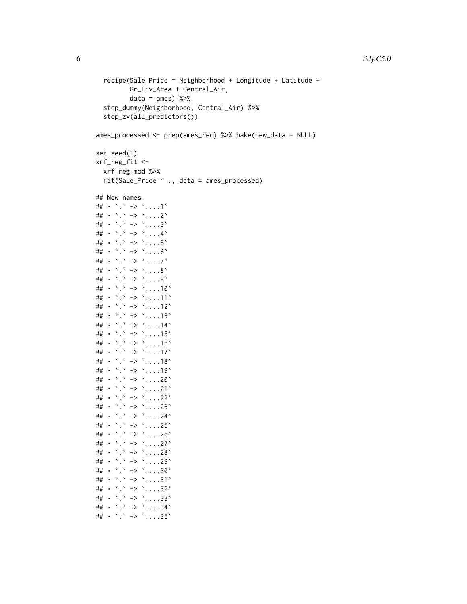```
recipe(Sale_Price ~ Neighborhood + Longitude + Latitude +
           Gr_Liv_Area + Central_Air,
           data = ames) %>%
  step_dummy(Neighborhood, Central_Air) %>%
  step_zv(all_predictors())
ames_processed <- prep(ames_rec) %>% bake(new_data = NULL)
set.seed(1)
xrf_reg_fit <-
  xrf_reg_mod %>%
  fit(Sale_Price ~ ., data = ames_processed)
## New names:
## • `.` -> `....1`
## • `.` -> `....2`
## • `.` -> `....3`
## • `.` -> `....4`
## • `.` -> `....5`
## • `.` -> `....6`
## \cdot \cdot \cdot -> \cdot ....7'
## • `.` -> `....8`
## • `.` -> `....9`
\# + \cdot \cdot \cdot -> \cdot ....10<sup>\cdot</sup>
## • `.` -> `....11`
## \cdot \cdot \cdot -> \cdot ....12\cdot## • `.` -> `....13`
## • `.` -> `....14`
\# + \cdot \cdot \cdot -> \cdot \cdot \cdot \cdot \cdot 15\cdot## • `.` -> `....16`
## • `.` -> `....17`
## \cdot \cdot \cdot -> \cdot ....18\cdot## • `.` -> `....19`
\# + \cdot \cdot \cdot -> \cdot \cdot \cdot \cdot \cdot 20<sup>\cdot</sup>
## • `.` -> `....21`
## \cdot `.` -> `....22`
## \cdot \cdot \cdot -> \cdot ....23\cdot## • `.` -> `....24`
## • `.` -> `....25`
## • `.` -> `....26`
## • `.` -> `....27`
## • `.` -> `....28`
## • `.` -> `....29`
## \cdot \cdot \cdot -> \cdot \cdot \cdot \cdot \cdot 30<sup>\cdot</sup>
## • `.` -> `....31`
## • `.` -> `....32`
## • `.` -> `....33`
## • `.` -> `....34`
## \cdot \cdot \cdot -> \cdot ....35\cdot
```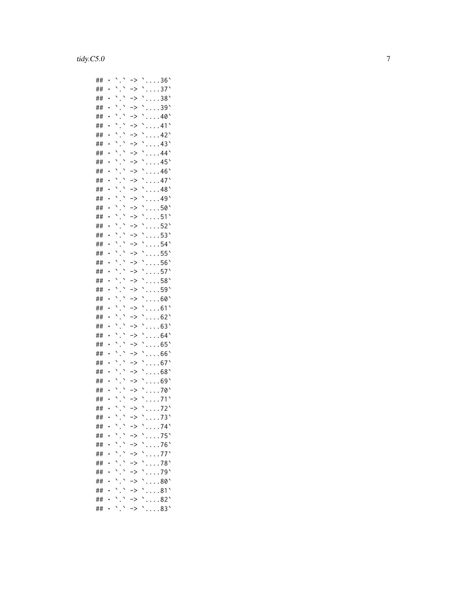| ## |           | $\overline{\phantom{0}}$<br>$\overline{\phantom{0}}$ | ∙>                   | 36'             |
|----|-----------|------------------------------------------------------|----------------------|-----------------|
| ## | $\bullet$ | $\overline{\phantom{0}}$<br>١                        | ⋗                    | 37'             |
| ## |           | $\overline{\phantom{0}}$<br>١                        | ⋗                    | 38'             |
| ## |           | $\overline{\phantom{0}}$<br>$\overline{\phantom{0}}$ | '>                   | 39'             |
| ## |           | $\overline{\phantom{0}}$<br>$\overline{\phantom{0}}$ | ⋗                    | 40              |
| ## |           | ╮<br>$\overline{\phantom{0}}$                        | ⋗                    | 41'             |
| ## |           | $\overline{\phantom{0}}$<br>$\overline{\phantom{0}}$ | ⋗                    | $42^{\circ}$    |
| ## |           | $\overline{\phantom{0}}$                             | ->                   | 43'             |
| ## |           | $\overline{\phantom{0}}$                             | ->                   | 44              |
| ## |           | $\overline{\phantom{0}}$                             | ->                   | 45'             |
| ## |           | $\overline{\phantom{0}}$                             | ->                   | $46^{\circ}$    |
| ## |           | $\overline{\phantom{0}}$                             | ->                   | 47'             |
| ## |           | $\overline{\phantom{0}}$                             | ->                   | 48              |
| ## |           | $\overline{\phantom{0}}$                             | ->                   | 49              |
| ## |           | $\overline{\phantom{0}}$                             | ->                   | 50              |
| ## |           | $\ddot{\phantom{0}}$                                 | ->                   | 51              |
| ## |           | $\ddot{\phantom{0}}$                                 | ->                   | 52'             |
| ## |           | $\overline{\phantom{0}}$                             | ->                   | 53 <sup>°</sup> |
| ## |           | $\overline{\phantom{0}}$                             | ->                   | 54'             |
| ## |           |                                                      | ->                   | 55'             |
| ## |           | <b>1</b>                                             | ->                   | 56'             |
| ## |           |                                                      |                      | 57'             |
|    |           | $\overline{\phantom{0}}$                             | ->                   |                 |
| ## |           | $\overline{\phantom{0}}$                             | ->                   | 58`             |
| ## |           | $\overline{\phantom{0}}$                             | ->                   | 59'             |
| ## |           | $\overline{\phantom{0}}$                             | ->                   | 60'             |
| ## |           | $\overline{\phantom{0}}$                             | ->                   | 61              |
| ## |           | $\overline{\phantom{0}}$                             | ->                   | 62'             |
| ## |           | $\overline{\phantom{0}}$                             | ->                   | 63              |
| ## |           |                                                      | ->                   | 64'             |
| ## |           |                                                      | ->                   | 65'             |
| ## |           |                                                      | ->                   | 66              |
| ## |           |                                                      | ->                   | 67'             |
| ## |           |                                                      | ->                   | 68              |
| ## |           |                                                      | ∙>                   | 69              |
| ## |           |                                                      | ->                   | 70              |
| ## |           |                                                      | ->                   | 71              |
| ## |           |                                                      | ->                   | 72'             |
| ## |           | 、<br>$\overline{\phantom{0}}$                        | $\cdot$              | 73'             |
| ## |           | $\overline{\phantom{0}}$                             | $\geq$               | 74              |
| ## |           |                                                      | $\ddot{\,}$          | 75'             |
| ## |           |                                                      | $\geq$               | 76              |
| ## |           | 、                                                    | $\geq$               | 77`             |
| ## |           |                                                      | $\geq$               | 78'             |
| ## |           |                                                      | $\geq$               | 79'             |
| ## |           |                                                      | $\geq$               | 80'             |
| ## |           |                                                      | ⋗                    | 81              |
| ## | $\bullet$ |                                                      | $\geq$               | 82'             |
| ## |           |                                                      | $\ddot{\phantom{1}}$ | 83              |
|    |           |                                                      |                      |                 |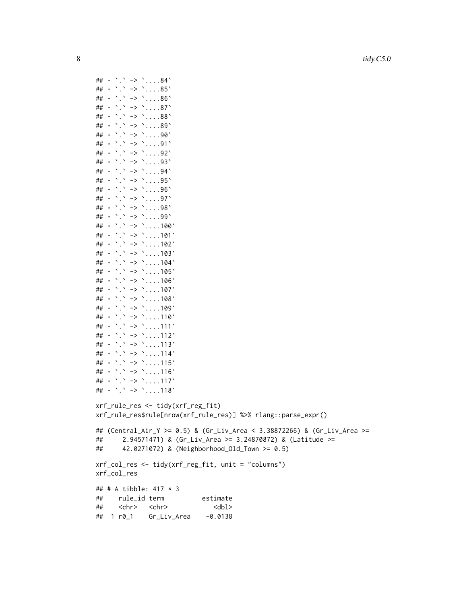```
8 tidy.C5.0
```

```
## \cdot \cdot \cdot -> \cdot \cdot \cdot \cdot \cdot 84\cdot## • `.` -> `....85`
## \cdot \cdot \cdot -> \cdot \cdot \cdot \cdot \cdot 86\cdot## \cdot \cdot \cdot -> \cdot \cdot \cdot \cdot \cdot 87\cdot## • `.` -> `....88`
## • `.` -> `....89`
\# + \cdot \cdot \cdot -> \cdot \cdot \cdot \cdot 90\cdot## • `.` -> `....91`
## • `.` -> `....92`
## • `.` -> `....93`
## • `.` -> `....94`
## \cdot \cdot \cdot -> \cdot \cdot \cdot ....95\cdot## • `.` -> `....96`
## • `.` -> `....97`
## • `.` -> `....98`
## • `.` -> `....99`
\# + \cdot \cdot \cdot -> \cdot \cdot \cdot \cdot 100<sup>\cdot</sup>
\# + \cdot \cdot \cdot -> \cdot \cdot \cdot \cdot 101<sup>\cdot</sup>
\# + \cdot \cdot \cdot -> \cdot \cdot \cdot \cdot \cdot 102\cdot## • `.` -> `....103`
\# + \cdot \cdot \cdot -> \cdot \cdot \cdot \cdot 104\cdot\# + \cdot \cdot \cdot -> \cdot \cdot \cdot \cdot 105\cdot\# + \cdot \cdot \cdot -> \cdot \cdot \cdot \cdot 106\cdot## • `.` -> `....107`
\# + \cdot \cdot \cdot -> \cdot \cdot \cdot \cdot 108\cdot\# + \cdot \cdot \cdot -> \cdot \cdot \cdot \cdot \cdot 109\cdot\# + \cdot \cdot \cdot -> \cdot \cdot \cdot \cdot 110<sup>\cdot</sup>
## • `.` -> `....111`
## • `.` -> `....112`
## • `.` -> `....113`
## • `.` -> `....114`
## • `.` -> `....115`
## • `.` -> `....116`
## • `.` -> `....117`
## • `.` -> `....118`
xrf_rule_res <- tidy(xrf_reg_fit)
xrf_rule_res$rule[nrow(xrf_rule_res)] %>% rlang::parse_expr()
## (Central_Air_Y >= 0.5) & (Gr_Liv_Area < 3.38872266) & (Gr_Liv_Area >=
## 2.94571471) & (Gr_Liv_Area >= 3.24870872) & (Latitude >=
## 42.0271072) & (Neighborhood_Old_Town >= 0.5)
xrf_col_res <- tidy(xrf_reg_fit, unit = "columns")
xrf_col_res
## # A tibble: 417 × 3
## rule_id term estimate
## <chr> <chr> <dbl>
```
## 1 r0\_1 Gr\_Liv\_Area -0.0138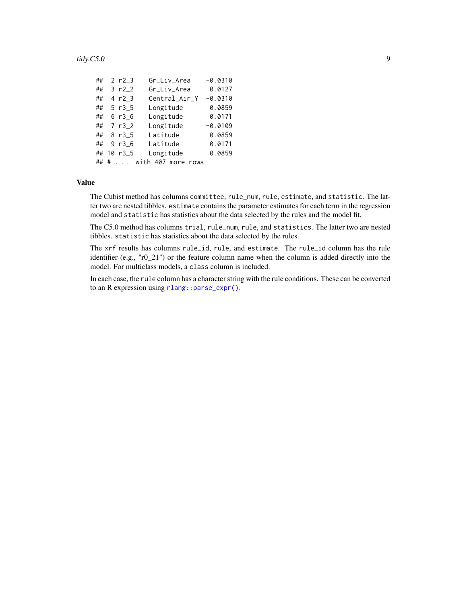#### <span id="page-8-0"></span> $\mu$  tidy.C5.0 9

| ## |   | 2 $r2_3$ | Gr_Liv_Area        | $-0.0310$ |
|----|---|----------|--------------------|-----------|
| ## |   | 3 $r2_2$ | Gr_Liv_Area        | 0.0127    |
| ## |   | 4 r2 3   | Central_Air_Y      | $-0.0310$ |
| ## |   | $5 r3_5$ | Longitude          | 0.0859    |
| ## |   | 6r36     | Longitude          | 0.0171    |
| ## |   | 7 r3 2   | Longitude          | $-0.0109$ |
| ## |   | 8r35     | Latitude           | 0.0859    |
| ## |   | 9r36     | Latitude           | 0.0171    |
| ## |   | 10r35    | Longitude          | 0.0859    |
|    | # |          | with 407 more rows |           |

#### Value

The Cubist method has columns committee, rule\_num, rule, estimate, and statistic. The latter two are nested tibbles. estimate contains the parameter estimates for each term in the regression model and statistic has statistics about the data selected by the rules and the model fit.

The C5.0 method has columns trial, rule\_num, rule, and statistics. The latter two are nested tibbles. statistic has statistics about the data selected by the rules.

The xrf results has columns rule\_id, rule, and estimate. The rule\_id column has the rule identifier (e.g., "r0\_21") or the feature column name when the column is added directly into the model. For multiclass models, a class column is included.

In each case, the rule column has a character string with the rule conditions. These can be converted to an R expression using [rlang::parse\\_expr\(\)](#page-0-0).